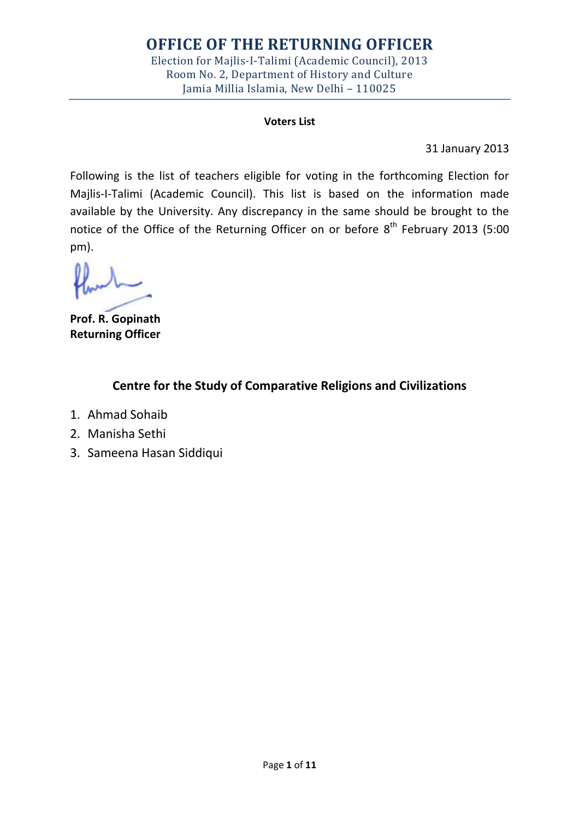Election for Majlis-I-Talimi (Academic Council), 2013 Room No. 2, Department of History and Culture Jamia Millia Islamia, New Delhi – 110025

#### Voters List

31 January 2013

Following is the list of teachers eligible for voting in the forthcoming Election for Majlis-I-Talimi (Academic Council). This list is based on the information made available by the University. Any discrepancy in the same should be brought to the notice of the Office of the Returning Officer on or before  $8<sup>th</sup>$  February 2013 (5:00 pm).

Prof. R. Gopinath Returning Officer

## Centre for the Study of Comparative Religions and Civilizations

- 1. Ahmad Sohaib
- 2. Manisha Sethi
- 3. Sameena Hasan Siddiqui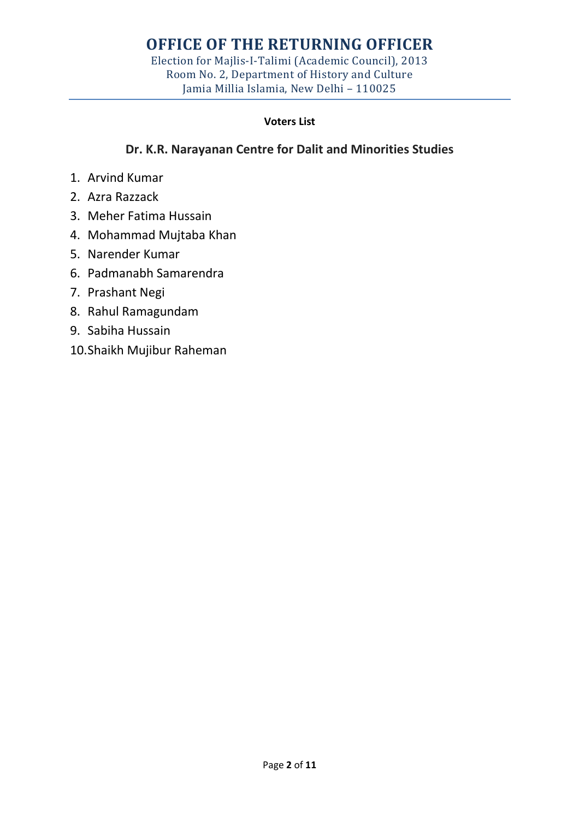Election for Majlis-I-Talimi (Academic Council), 2013 Room No. 2, Department of History and Culture Jamia Millia Islamia, New Delhi – 110025

#### Voters List

### Dr. K.R. Narayanan Centre for Dalit and Minorities Studies

- 1. Arvind Kumar
- 2. Azra Razzack
- 3. Meher Fatima Hussain
- 4. Mohammad Mujtaba Khan
- 5. Narender Kumar
- 6. Padmanabh Samarendra
- 7. Prashant Negi
- 8. Rahul Ramagundam
- 9. Sabiha Hussain
- 10.Shaikh Mujibur Raheman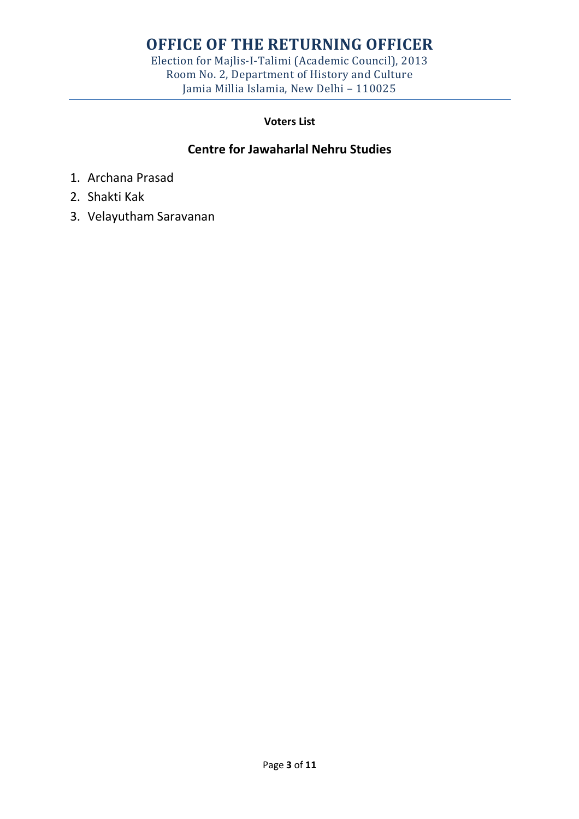Election for Majlis-I-Talimi (Academic Council), 2013 Room No. 2, Department of History and Culture Jamia Millia Islamia, New Delhi – 110025

#### Voters List

### Centre for Jawaharlal Nehru Studies

- 1. Archana Prasad
- 2. Shakti Kak
- 3. Velayutham Saravanan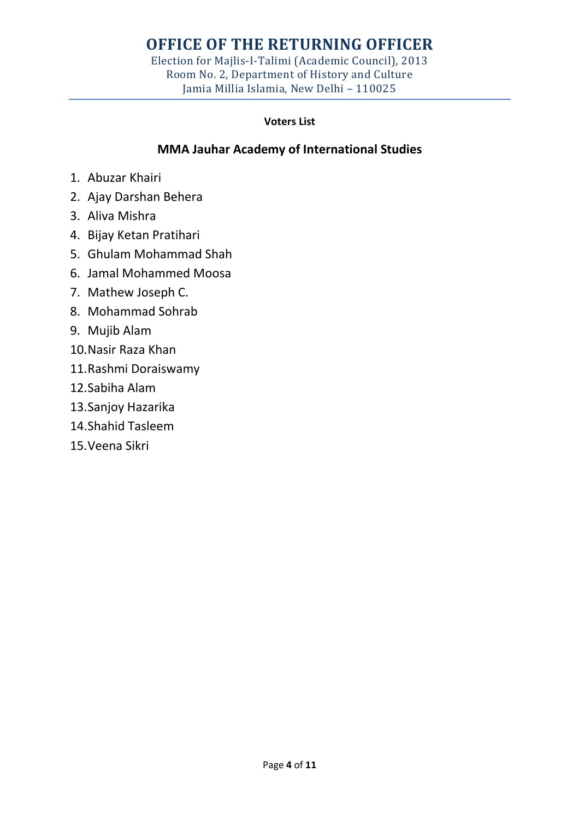Election for Majlis-I-Talimi (Academic Council), 2013 Room No. 2, Department of History and Culture Jamia Millia Islamia, New Delhi – 110025

#### Voters List

### MMA Jauhar Academy of International Studies

- 1. Abuzar Khairi
- 2. Ajay Darshan Behera
- 3. Aliva Mishra
- 4. Bijay Ketan Pratihari
- 5. Ghulam Mohammad Shah
- 6. Jamal Mohammed Moosa
- 7. Mathew Joseph C.
- 8. Mohammad Sohrab
- 9. Mujib Alam
- 10.Nasir Raza Khan
- 11.Rashmi Doraiswamy
- 12.Sabiha Alam
- 13.Sanjoy Hazarika
- 14.Shahid Tasleem
- 15.Veena Sikri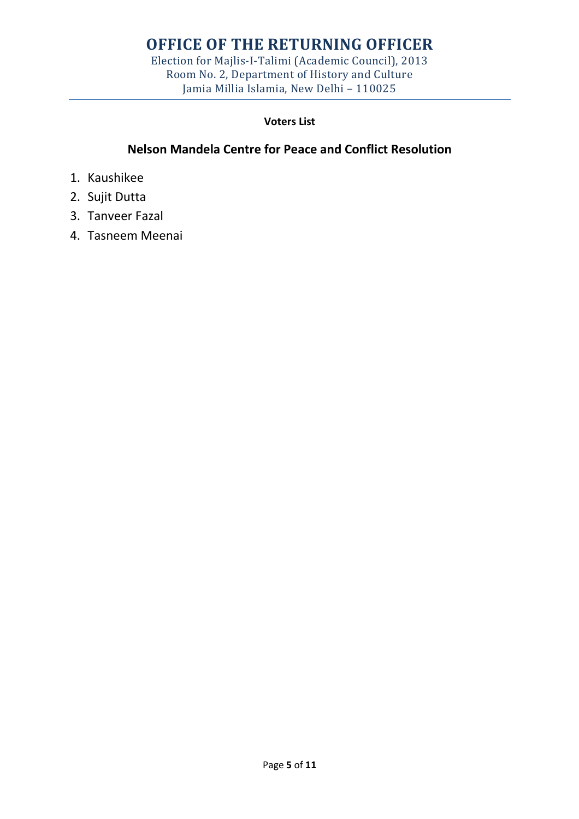Election for Majlis-I-Talimi (Academic Council), 2013 Room No. 2, Department of History and Culture Jamia Millia Islamia, New Delhi – 110025

#### Voters List

## Nelson Mandela Centre for Peace and Conflict Resolution

- 1. Kaushikee
- 2. Sujit Dutta
- 3. Tanveer Fazal
- 4. Tasneem Meenai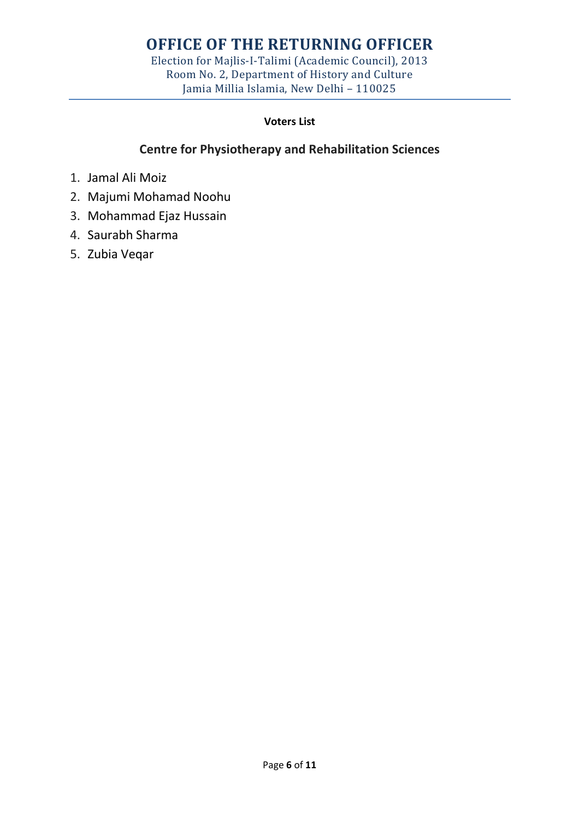Election for Majlis-I-Talimi (Academic Council), 2013 Room No. 2, Department of History and Culture Jamia Millia Islamia, New Delhi – 110025

#### Voters List

## Centre for Physiotherapy and Rehabilitation Sciences

- 1. Jamal Ali Moiz
- 2. Majumi Mohamad Noohu
- 3. Mohammad Ejaz Hussain
- 4. Saurabh Sharma
- 5. Zubia Veqar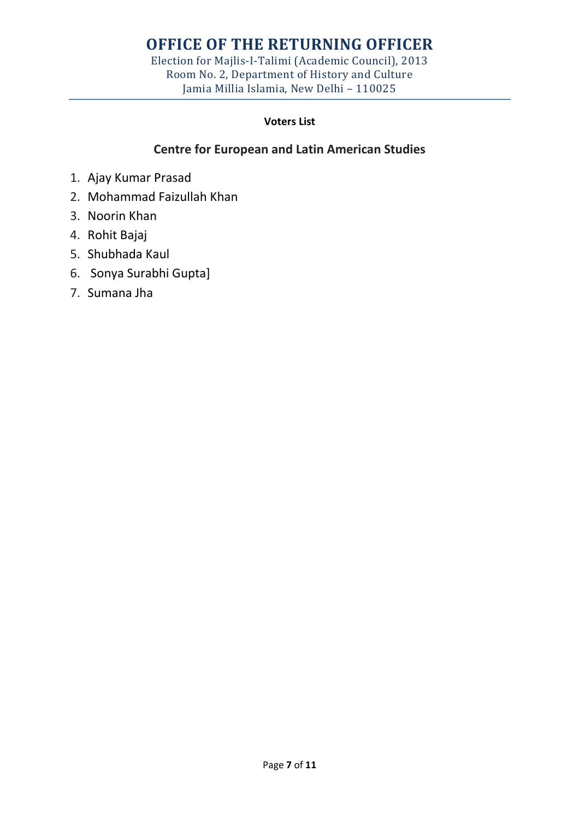Election for Majlis-I-Talimi (Academic Council), 2013 Room No. 2, Department of History and Culture Jamia Millia Islamia, New Delhi – 110025

#### Voters List

### Centre for European and Latin American Studies

- 1. Ajay Kumar Prasad
- 2. Mohammad Faizullah Khan
- 3. Noorin Khan
- 4. Rohit Bajaj
- 5. Shubhada Kaul
- 6. Sonya Surabhi Gupta]
- 7. Sumana Jha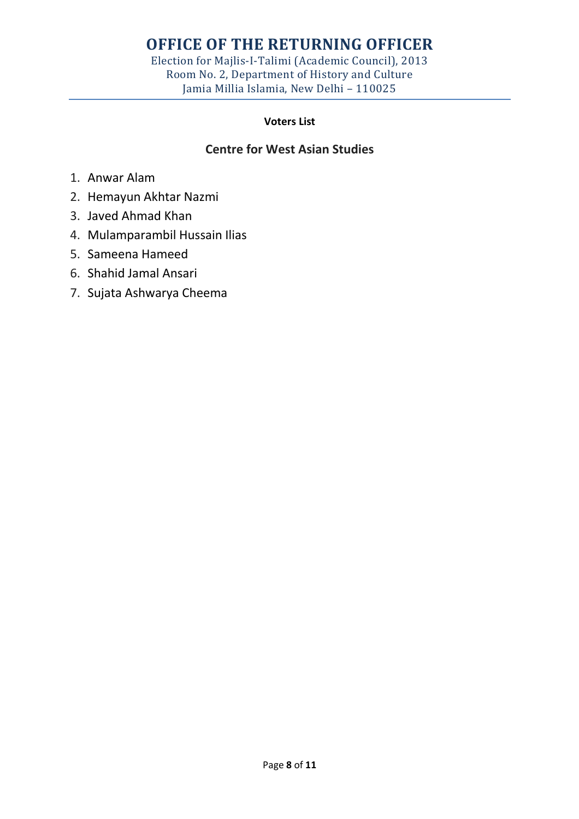Election for Majlis-I-Talimi (Academic Council), 2013 Room No. 2, Department of History and Culture Jamia Millia Islamia, New Delhi – 110025

#### Voters List

### Centre for West Asian Studies

- 1. Anwar Alam
- 2. Hemayun Akhtar Nazmi
- 3. Javed Ahmad Khan
- 4. Mulamparambil Hussain Ilias
- 5. Sameena Hameed
- 6. Shahid Jamal Ansari
- 7. Sujata Ashwarya Cheema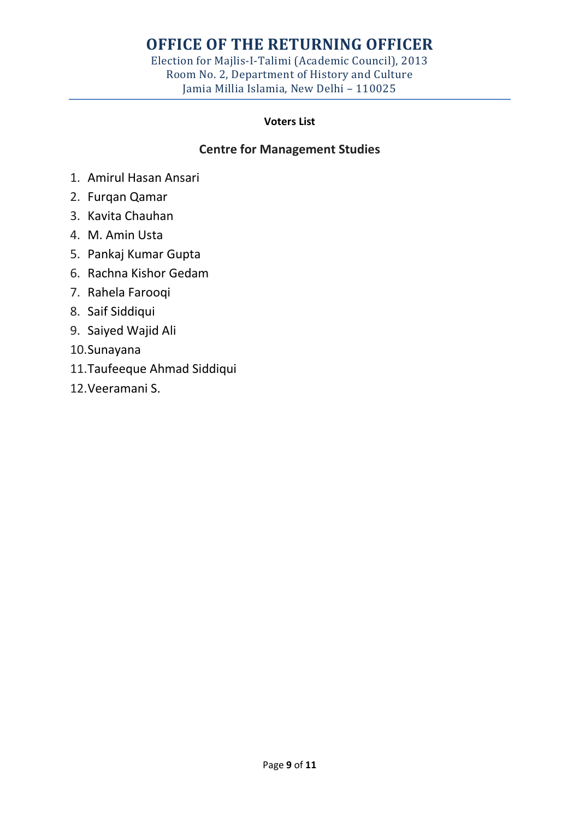Election for Majlis-I-Talimi (Academic Council), 2013 Room No. 2, Department of History and Culture Jamia Millia Islamia, New Delhi – 110025

#### Voters List

### Centre for Management Studies

- 1. Amirul Hasan Ansari
- 2. Furqan Qamar
- 3. Kavita Chauhan
- 4. M. Amin Usta
- 5. Pankaj Kumar Gupta
- 6. Rachna Kishor Gedam
- 7. Rahela Farooqi
- 8. Saif Siddiqui
- 9. Saiyed Wajid Ali
- 10.Sunayana
- 11.Taufeeque Ahmad Siddiqui
- 12.Veeramani S.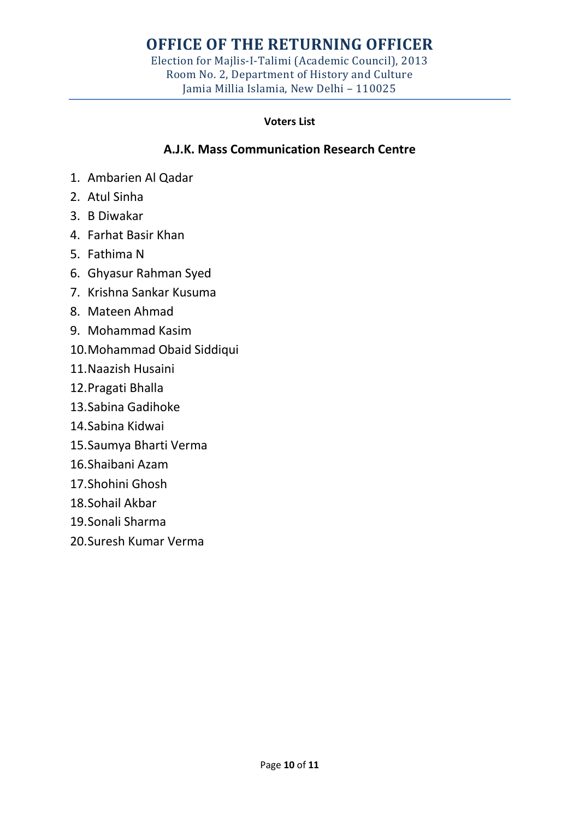Election for Majlis-I-Talimi (Academic Council), 2013 Room No. 2, Department of History and Culture Jamia Millia Islamia, New Delhi – 110025

#### Voters List

### A.J.K. Mass Communication Research Centre

- 1. Ambarien Al Qadar
- 2. Atul Sinha
- 3. B Diwakar
- 4. Farhat Basir Khan
- 5. Fathima N
- 6. Ghyasur Rahman Syed
- 7. Krishna Sankar Kusuma
- 8. Mateen Ahmad
- 9. Mohammad Kasim
- 10.Mohammad Obaid Siddiqui
- 11.Naazish Husaini
- 12.Pragati Bhalla
- 13.Sabina Gadihoke
- 14.Sabina Kidwai
- 15.Saumya Bharti Verma
- 16.Shaibani Azam
- 17.Shohini Ghosh
- 18.Sohail Akbar
- 19.Sonali Sharma
- 20.Suresh Kumar Verma